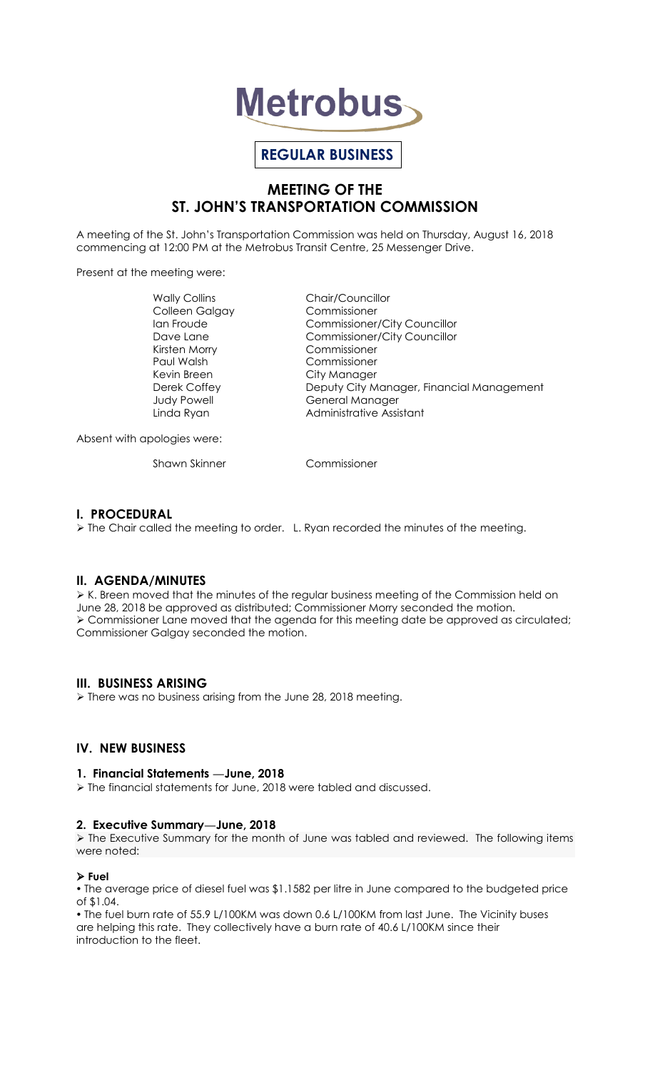

# **REGULAR BUSINESS**

# **MEETING OF THE ST. JOHN'S TRANSPORTATION COMMISSION**

A meeting of the St. John's Transportation Commission was held on Thursday, August 16, 2018 commencing at 12:00 PM at the Metrobus Transit Centre, 25 Messenger Drive.

Present at the meeting were:

Colleen Galgay Commissioner Kirsten Morry Commissioner Kevin Breen City Manager

Wally Collins Chair/Councillor Ian Froude **Commissioner/City Councillor** Dave Lane Commissioner/City Councillor **Commissioner** Derek Coffey **Deputy City Manager, Financial Management** Judy Powell **General Manager** Linda Ryan **Administrative Assistant** 

Absent with apologies were:

Shawn Skinner Commissioner

# **I. PROCEDURAL**

 $\triangleright$  The Chair called the meeting to order. L. Ryan recorded the minutes of the meeting.

# **II. AGENDA/MINUTES**

 K. Breen moved that the minutes of the regular business meeting of the Commission held on June 28, 2018 be approved as distributed; Commissioner Morry seconded the motion. Commissioner Lane moved that the agenda for this meeting date be approved as circulated; Commissioner Galgay seconded the motion.

# **III. BUSINESS ARISING**

 $\triangleright$  There was no business arising from the June 28, 2018 meeting.

# **IV. NEW BUSINESS**

### **1. Financial Statements —June, 2018**

The financial statements for June, 2018 were tabled and discussed.

# **2. Executive Summary—June, 2018**

 The Executive Summary for the month of June was tabled and reviewed. The following items were noted:

### **Fuel**

 The average price of diesel fuel was \$1.1582 per litre in June compared to the budgeted price of \$1.04.

 The fuel burn rate of 55.9 L/100KM was down 0.6 L/100KM from last June. The Vicinity buses are helping this rate. They collectively have a burn rate of 40.6 L/100KM since their introduction to the fleet.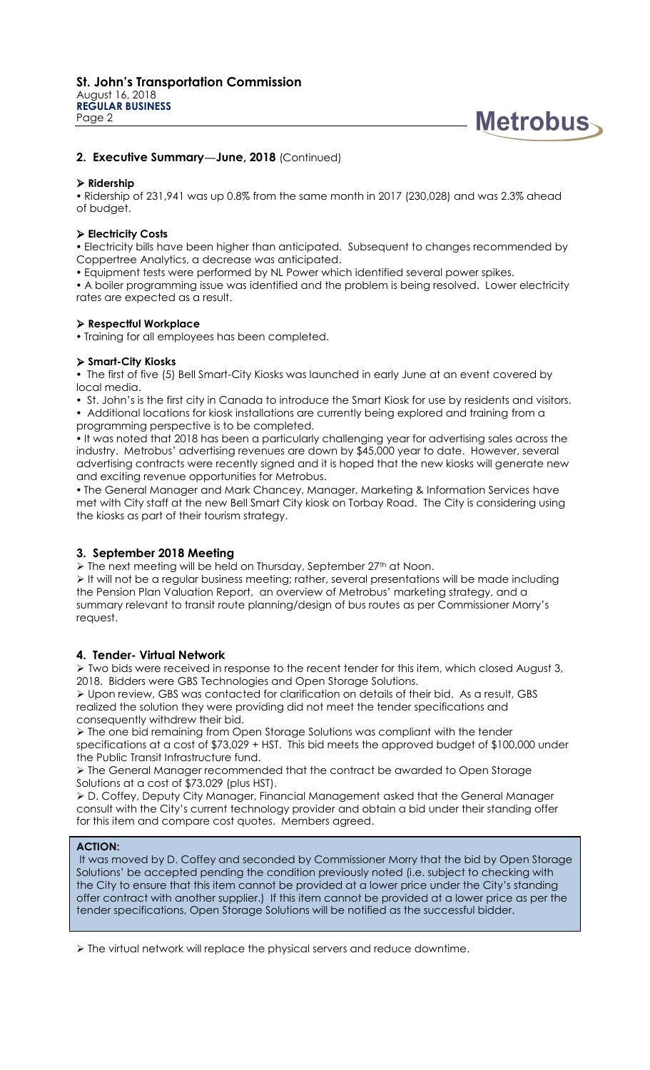Page 2



# **2. Executive Summary—June, 2018** (Continued)

#### **Ridership**

 Ridership of 231,941 was up 0.8% from the same month in 2017 (230,028) and was 2.3% ahead of budget.

### **Electricity Costs**

 Electricity bills have been higher than anticipated. Subsequent to changes recommended by Coppertree Analytics, a decrease was anticipated.

Equipment tests were performed by NL Power which identified several power spikes.

 A boiler programming issue was identified and the problem is being resolved. Lower electricity rates are expected as a result.

#### **Respectful Workplace**

Training for all employees has been completed.

#### **Smart-City Kiosks**

 The first of five (5) Bell Smart-City Kiosks was launched in early June at an event covered by local media.

• St. John's is the first city in Canada to introduce the Smart Kiosk for use by residents and visitors.

 Additional locations for kiosk installations are currently being explored and training from a programming perspective is to be completed.

 It was noted that 2018 has been a particularly challenging year for advertising sales across the industry. Metrobus' advertising revenues are down by \$45,000 year to date. However, several advertising contracts were recently signed and it is hoped that the new kiosks will generate new and exciting revenue opportunities for Metrobus.

 The General Manager and Mark Chancey, Manager, Marketing & Information Services have met with City staff at the new Bell Smart City kiosk on Torbay Road. The City is considering using the kiosks as part of their tourism strategy.

### **3. September 2018 Meeting**

 $\triangleright$  The next meeting will be held on Thursday, September 27<sup>th</sup> at Noon.

 It will not be a regular business meeting; rather, several presentations will be made including the Pension Plan Valuation Report, an overview of Metrobus' marketing strategy, and a summary relevant to transit route planning/design of bus routes as per Commissioner Morry's request.

### **4. Tender- Virtual Network**

 $\triangleright$  Two bids were received in response to the recent tender for this item, which closed August 3, 2018. Bidders were GBS Technologies and Open Storage Solutions.

 Upon review, GBS was contacted for clarification on details of their bid. As a result, GBS realized the solution they were providing did not meet the tender specifications and consequently withdrew their bid.

 The one bid remaining from Open Storage Solutions was compliant with the tender specifications at a cost of \$73,029 + HST. This bid meets the approved budget of \$100,000 under the Public Transit Infrastructure fund.

 The General Manager recommended that the contract be awarded to Open Storage Solutions at a cost of \$73,029 (plus HST).

 D. Coffey, Deputy City Manager, Financial Management asked that the General Manager consult with the City's current technology provider and obtain a bid under their standing offer for this item and compare cost quotes. Members agreed.

### **ACTION:**

It was moved by D. Coffey and seconded by Commissioner Morry that the bid by Open Storage Solutions' be accepted pending the condition previously noted (i.e. subject to checking with the City to ensure that this item cannot be provided at a lower price under the City's standing offer contract with another supplier.) If this item cannot be provided at a lower price as per the tender specifications, Open Storage Solutions will be notified as the successful bidder.

The virtual network will replace the physical servers and reduce downtime.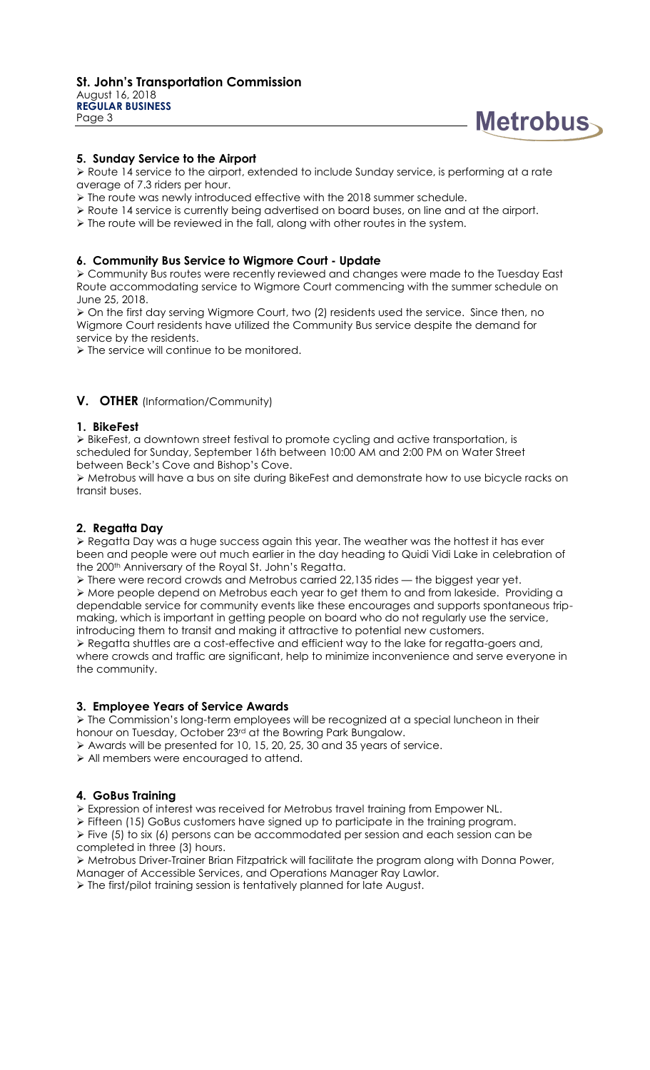

## **5. Sunday Service to the Airport**

 $\triangleright$  Route 14 service to the airport, extended to include Sunday service, is performing at a rate average of 7.3 riders per hour.

The route was newly introduced effective with the 2018 summer schedule.

Route 14 service is currently being advertised on board buses, on line and at the airport.

The route will be reviewed in the fall, along with other routes in the system.

#### **6. Community Bus Service to Wigmore Court - Update**

 Community Bus routes were recently reviewed and changes were made to the Tuesday East Route accommodating service to Wigmore Court commencing with the summer schedule on June 25, 2018.

 On the first day serving Wigmore Court, two (2) residents used the service. Since then, no Wigmore Court residents have utilized the Community Bus service despite the demand for service by the residents.

 $\triangleright$  The service will continue to be monitored.

# **V. OTHER** (Information/Community)

#### **1. BikeFest**

 $\triangleright$  BikeFest, a downtown street festival to promote cycling and active transportation, is scheduled for Sunday, September 16th between 10:00 AM and 2:00 PM on Water Street between Beck's Cove and Bishop's Cove.

 Metrobus will have a bus on site during BikeFest and demonstrate how to use bicycle racks on transit buses.

### **2. Regatta Day**

 $\triangleright$  Regatta Day was a huge success again this year. The weather was the hottest it has ever been and people were out much earlier in the day heading to Quidi Vidi Lake in celebration of the 200<sup>th</sup> Anniversary of the Royal St. John's Regatta.

 $\triangleright$  There were record crowds and Metrobus carried 22,135 rides — the biggest year yet.

 More people depend on Metrobus each year to get them to and from lakeside. Providing a dependable service for community events like these encourages and supports spontaneous tripmaking, which is important in getting people on board who do not regularly use the service, introducing them to transit and making it attractive to potential new customers.

 Regatta shuttles are a cost-effective and efficient way to the lake for regatta-goers and, where crowds and traffic are significant, help to minimize inconvenience and serve everyone in the community.

#### **3. Employee Years of Service Awards**

 The Commission's long-term employees will be recognized at a special luncheon in their honour on Tuesday, October 23rd at the Bowring Park Bungalow.

- Awards will be presented for 10, 15, 20, 25, 30 and 35 years of service.
- All members were encouraged to attend.

#### **4. GoBus Training**

Expression of interest was received for Metrobus travel training from Empower NL.

Fifteen (15) GoBus customers have signed up to participate in the training program.

 Five (5) to six (6) persons can be accommodated per session and each session can be completed in three (3) hours.

 Metrobus Driver-Trainer Brian Fitzpatrick will facilitate the program along with Donna Power, Manager of Accessible Services, and Operations Manager Ray Lawlor.

The first/pilot training session is tentatively planned for late August.